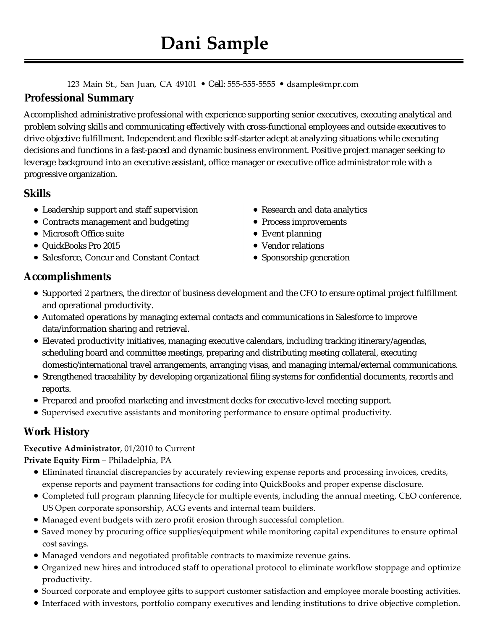#### 123 Main St., San Juan, CA 49101 • Cell: 555-555-5555 • dsample@mpr.com

## **Professional Summary**

Accomplished administrative professional with experience supporting senior executives, executing analytical and problem solving skills and communicating effectively with cross-functional employees and outside executives to drive objective fulfillment. Independent and flexible self-starter adept at analyzing situations while executing decisions and functions in a fast-paced and dynamic business environment. Positive project manager seeking to leverage background into an executive assistant, office manager or executive office administrator role with a progressive organization.

## **Skills**

- Leadership support and staff supervision
- Contracts management and budgeting
- Microsoft Office suite
- QuickBooks Pro 2015
- Salesforce, Concur and Constant Contact
- Research and data analytics
- Process improvements
- Event planning
- Vendor relations
- Sponsorship generation

# **Accomplishments**

- Supported 2 partners, the director of business development and the CFO to ensure optimal project fulfillment and operational productivity.
- Automated operations by managing external contacts and communications in Salesforce to improve data/information sharing and retrieval.
- Elevated productivity initiatives, managing executive calendars, including tracking itinerary/agendas, scheduling board and committee meetings, preparing and distributing meeting collateral, executing domestic/international travel arrangements, arranging visas, and managing internal/external communications.
- Strengthened traceability by developing organizational filing systems for confidential documents, records and reports.
- Prepared and proofed marketing and investment decks for executive-level meeting support.
- Supervised executive assistants and monitoring performance to ensure optimal productivity.

# **Work History**

#### **Executive Administrator**, 01/2010 to Current

#### **Private Equity Firm** – Philadelphia, PA

- Eliminated financial discrepancies by accurately reviewing expense reports and processing invoices, credits, expense reports and payment transactions for coding into QuickBooks and proper expense disclosure.
- Completed full program planning lifecycle for multiple events, including the annual meeting, CEO conference, US Open corporate sponsorship, ACG events and internal team builders.
- Managed event budgets with zero profit erosion through successful completion.
- Saved money by procuring office supplies/equipment while monitoring capital expenditures to ensure optimal cost savings.
- Managed vendors and negotiated profitable contracts to maximize revenue gains.
- Organized new hires and introduced staff to operational protocol to eliminate workflow stoppage and optimize productivity.
- Sourced corporate and employee gifts to support customer satisfaction and employee morale boosting activities.
- Interfaced with investors, portfolio company executives and lending institutions to drive objective completion.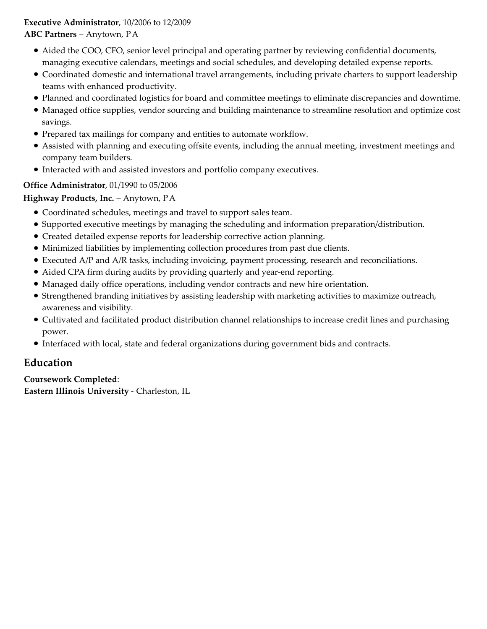#### **Executive Administrator**, 10/2006 to 12/2009 **ABC Partners** – Anytown, PA

- Aided the COO, CFO, senior level principal and operating partner by reviewing confidential documents, managing executive calendars, meetings and social schedules, and developing detailed expense reports.
- Coordinated domestic and international travel arrangements, including private charters to support leadership teams with enhanced productivity.
- Planned and coordinated logistics for board and committee meetings to eliminate discrepancies and downtime.
- Managed office supplies, vendor sourcing and building maintenance to streamline resolution and optimize cost savings.
- Prepared tax mailings for company and entities to automate workflow.
- Assisted with planning and executing offsite events, including the annual meeting, investment meetings and company team builders.
- Interacted with and assisted investors and portfolio company executives.

#### **Office Administrator**, 01/1990 to 05/2006

**Highway Products, Inc.** – Anytown, PA

- Coordinated schedules, meetings and travel to support sales team.
- Supported executive meetings by managing the scheduling and information preparation/distribution.
- Created detailed expense reports for leadership corrective action planning.
- Minimized liabilities by implementing collection procedures from past due clients.
- Executed A/P and A/R tasks, including invoicing, payment processing, research and reconciliations.
- Aided CPA firm during audits by providing quarterly and year-end reporting.
- Managed daily office operations, including vendor contracts and new hire orientation.
- Strengthened branding initiatives by assisting leadership with marketing activities to maximize outreach, awareness and visibility.
- Cultivated and facilitated product distribution channel relationships to increase credit lines and purchasing power.
- Interfaced with local, state and federal organizations during government bids and contracts.

# **Education**

**Coursework Completed**:

**Eastern Illinois University** - Charleston, IL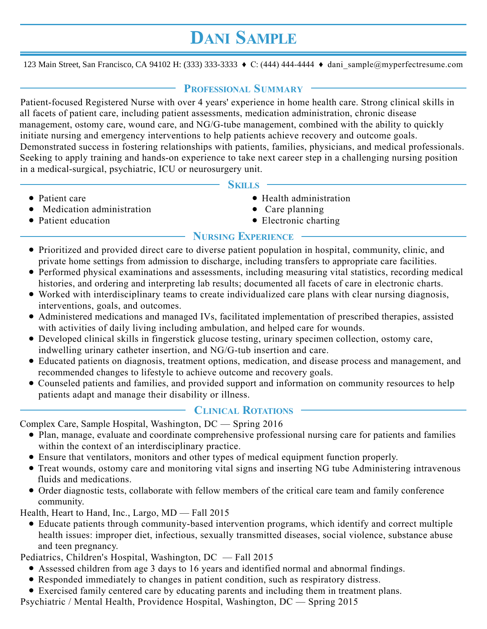# **DANI SAMPLE**

123 Main Street, San Francisco, CA 94102 H: (333) 333-3333 ♦ C: (444) 444-4444 ♦ dani\_sample@myperfectresume.com

## **PROFESSIONAL SUMMARY**

Patient-focused Registered Nurse with over 4 years' experience in home health care. Strong clinical skills in all facets of patient care, including patient assessments, medication administration, chronic disease management, ostomy care, wound care, and NG/G-tube management, combined with the ability to quickly initiate nursing and emergency interventions to help patients achieve recovery and outcome goals. Demonstrated success in fostering relationships with patients, families, physicians, and medical professionals. Seeking to apply training and hands-on experience to take next career step in a challenging nursing position in a medical-surgical, psychiatric, ICU or neurosurgery unit.

#### **SKILLS**

- Patient care
- Medication administration
- Patient education
- Health administration
- Care planning
- Electronic charting

## **NURSING EXPERIENCE**

- Prioritized and provided direct care to diverse patient population in hospital, community, clinic, and private home settings from admission to discharge, including transfers to appropriate care facilities.
- Performed physical examinations and assessments, including measuring vital statistics, recording medical histories, and ordering and interpreting lab results; documented all facets of care in electronic charts.
- Worked with interdisciplinary teams to create individualized care plans with clear nursing diagnosis, interventions, goals, and outcomes.
- Administered medications and managed IVs, facilitated implementation of prescribed therapies, assisted with activities of daily living including ambulation, and helped care for wounds.
- Developed clinical skills in fingerstick glucose testing, urinary specimen collection, ostomy care, indwelling urinary catheter insertion, and NG/G-tub insertion and care.
- Educated patients on diagnosis, treatment options, medication, and disease process and management, and recommended changes to lifestyle to achieve outcome and recovery goals.
- Counseled patients and families, and provided support and information on community resources to help patients adapt and manage their disability or illness.

## **CLINICAL ROTATIONS**

Complex Care, Sample Hospital, Washington, DC — Spring 2016

- Plan, manage, evaluate and coordinate comprehensive professional nursing care for patients and families within the context of an interdisciplinary practice.
- Ensure that ventilators, monitors and other types of medical equipment function properly.
- Treat wounds, ostomy care and monitoring vital signs and inserting NG tube Administering intravenous fluids and medications.
- Order diagnostic tests, collaborate with fellow members of the critical care team and family conference community.

Health, Heart to Hand, Inc., Largo, MD — Fall 2015

Educate patients through community-based intervention programs, which identify and correct multiple health issues: improper diet, infectious, sexually transmitted diseases, social violence, substance abuse and teen pregnancy.

Pediatrics, Children's Hospital, Washington, DC — Fall 2015

- Assessed children from age 3 days to 16 years and identified normal and abnormal findings.
- Responded immediately to changes in patient condition, such as respiratory distress.
- Exercised family centered care by educating parents and including them in treatment plans.

Psychiatric / Mental Health, Providence Hospital, Washington, DC — Spring 2015